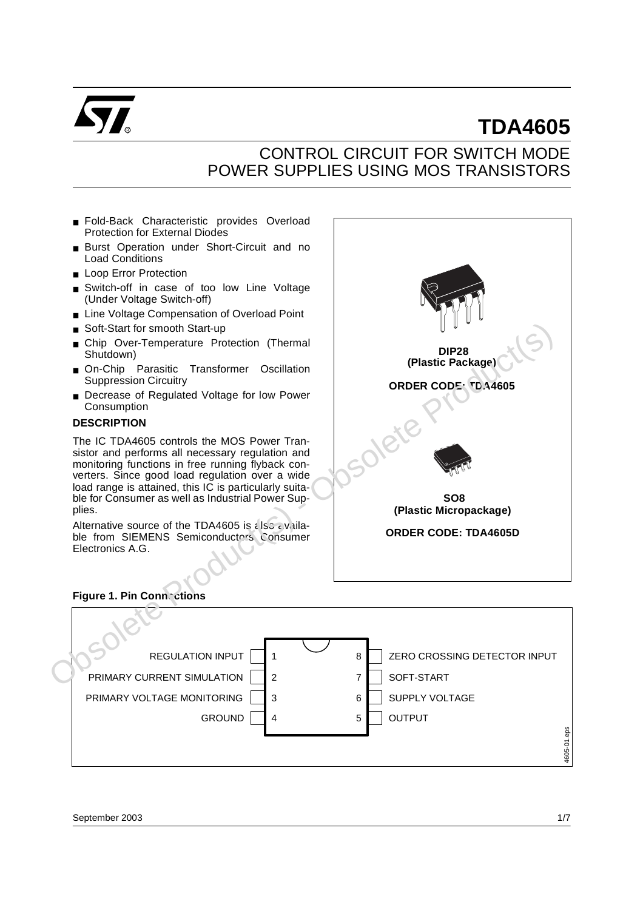

# **TDA4605**

### CONTROL CIRCUIT FOR SWITCH MODE POWER SUPPLIES USING MOS TRANSISTORS

- Fold-Back Characteristic provides Overload Protection for External Diodes
- Burst Operation under Short-Circuit and no Load Conditions
- Loop Error Protection
- Switch-off in case of too low Line Voltage (Under Voltage Switch-off)
- Line Voltage Compensation of Overload Point
- Soft-Start for smooth Start-up
- Chip Over-Temperature Protection (Thermal Shutdown)
- On-Chip Parasitic Transformer Oscillation Suppression Circuitry
- Decrease of Regulated Voltage for low Power Consumption

### **DESCRIPTION**

The IC TDA4605 controls the MOS Power Transistor and performs all necessary regulation and monitoring functions in free running flyback converters. Since good load regulation over a wide load range is attained, this IC is particularly suitable for Consumer as well as Industrial Power Supplies.

Alternative source of the TDA4605 is also available from SIEMENS Semiconductors Consumer Electronics A.G.



### **Figure 1. Pin Connections**

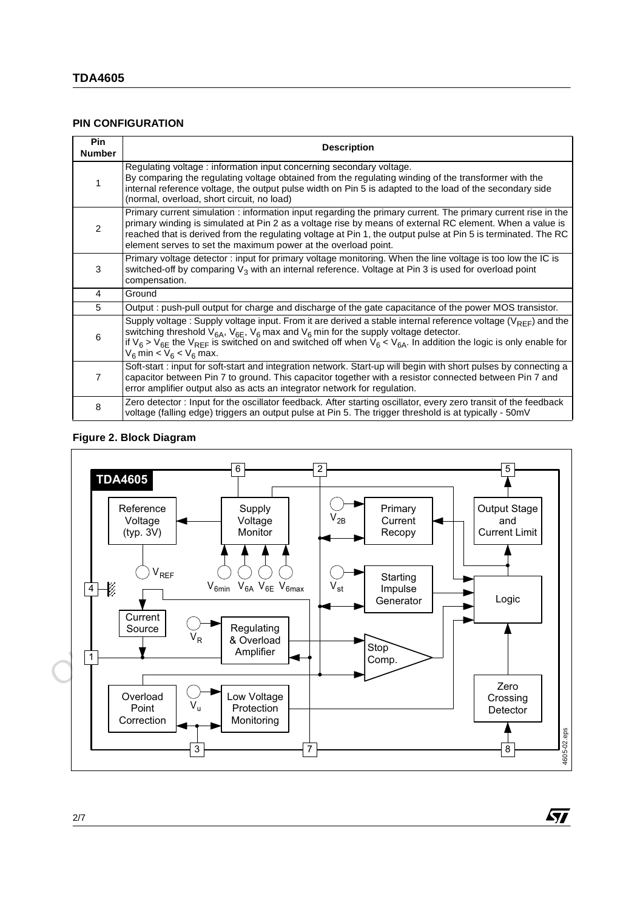### **PIN CONFIGURATION**

| <b>Pin</b><br><b>Number</b> | <b>Description</b>                                                                                                                                                                                                                                                                                                                                                                                           |
|-----------------------------|--------------------------------------------------------------------------------------------------------------------------------------------------------------------------------------------------------------------------------------------------------------------------------------------------------------------------------------------------------------------------------------------------------------|
|                             | Regulating voltage: information input concerning secondary voltage.<br>By comparing the regulating voltage obtained from the regulating winding of the transformer with the<br>internal reference voltage, the output pulse width on Pin 5 is adapted to the load of the secondary side<br>(normal, overload, short circuit, no load)                                                                        |
| 2                           | Primary current simulation : information input regarding the primary current. The primary current rise in the<br>primary winding is simulated at Pin 2 as a voltage rise by means of external RC element. When a value is<br>reached that is derived from the regulating voltage at Pin 1, the output pulse at Pin 5 is terminated. The RC<br>element serves to set the maximum power at the overload point. |
| 3                           | Primary voltage detector: input for primary voltage monitoring. When the line voltage is too low the IC is<br>switched-off by comparing $V_3$ with an internal reference. Voltage at Pin 3 is used for overload point<br>compensation.                                                                                                                                                                       |
| 4                           | Ground                                                                                                                                                                                                                                                                                                                                                                                                       |
| 5                           | Output : push-pull output for charge and discharge of the gate capacitance of the power MOS transistor.                                                                                                                                                                                                                                                                                                      |
| 6                           | Supply voltage : Supply voltage input. From it are derived a stable internal reference voltage ( $V_{\text{REF}}$ ) and the<br>switching threshold $V_{6A}$ , $V_{6F}$ , $V_{6}$ max and $V_{6}$ min for the supply voltage detector.<br>if $V_6 > V_{6E}$ the $V_{REF}$ is switched on and switched off when $V_6 < V_{6A}$ . In addition the logic is only enable for<br>$V_6$ min < $V_6$ < $V_6$ max.    |
| 7                           | Soft-start: input for soft-start and integration network. Start-up will begin with short pulses by connecting a<br>capacitor between Pin 7 to ground. This capacitor together with a resistor connected between Pin 7 and<br>error amplifier output also as acts an integrator network for regulation.                                                                                                       |
| 8                           | Zero detector: Input for the oscillator feedback. After starting oscillator, every zero transit of the feedback<br>voltage (falling edge) triggers an output pulse at Pin 5. The trigger threshold is at typically - 50mV                                                                                                                                                                                    |

### **Figure 2. Block Diagram**



冈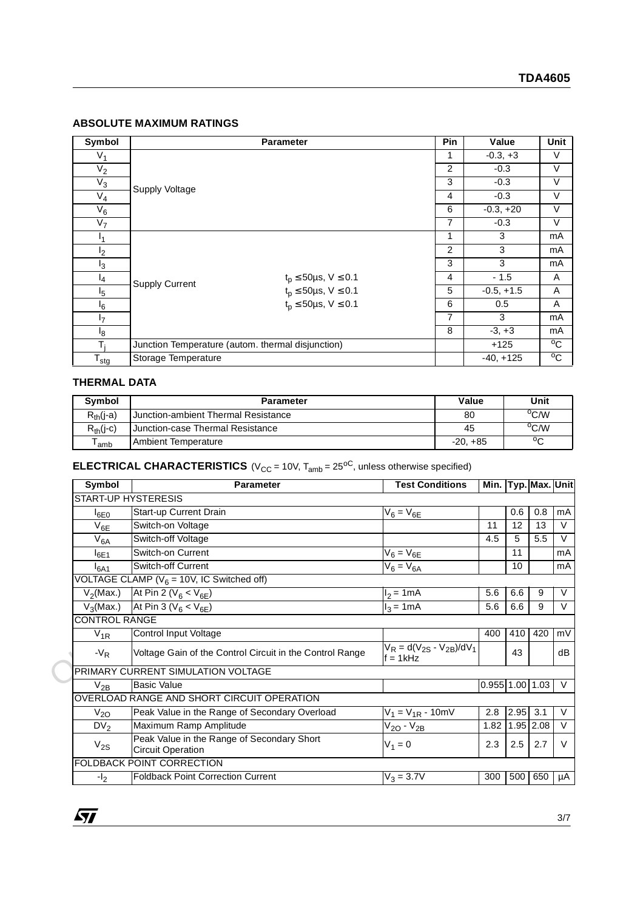### **ABSOLUTE MAXIMUM RATINGS**

| Symbol           |                                                   | <b>Parameter</b>                   | <b>Pin</b>     | Value        | Unit           |
|------------------|---------------------------------------------------|------------------------------------|----------------|--------------|----------------|
| $V_1$            |                                                   | 1                                  | $-0.3, +3$     | V            |                |
| $V_2$            |                                                   | 2                                  | $-0.3$         | V            |                |
| $V_3$            | Supply Voltage                                    | 3                                  | $-0.3$         | V            |                |
| $V_4$            |                                                   | 4                                  | $-0.3$         | V            |                |
| $V_6$            |                                                   | 6                                  | $-0.3, +20$    | ٧            |                |
| V <sub>7</sub>   |                                                   |                                    | 7              | $-0.3$       | V              |
| ι <sub>1</sub>   |                                                   |                                    | 1              | 3            | mA             |
| I <sub>2</sub>   |                                                   |                                    | $\overline{2}$ | 3            | mA             |
| $I_3$            |                                                   |                                    | 3              | 3            | mA             |
| $I_4$            | <b>Supply Current</b>                             | $t_p \le 50 \mu s, V \le 0.1$      | 4              | $-1.5$       | A              |
| $I_5$            |                                                   | $t_p \leq 50 \mu s, \, V \leq 0.1$ | 5              | $-0.5, +1.5$ | A              |
| $\mathsf{I}_6$   |                                                   | $t_p \le 50 \mu s$ , $V \le 0.1$   | 6              | 0.5          | A              |
| $I_7$            |                                                   |                                    | 7              | 3            | mA             |
| $I_8$            |                                                   |                                    | 8              | $-3, +3$     | mA             |
| T,               | Junction Temperature (autom. thermal disjunction) |                                    |                | $+125$       | $^{\circ}$ C   |
| $T_{\text{stg}}$ | Storage Temperature                               |                                    |                | $-40, +125$  | $\overline{c}$ |

#### **THERMAL DATA**

| Symbol         | <b>Parameter</b>                    | Value      | Unit |
|----------------|-------------------------------------|------------|------|
| $R_{th}$ (j-a) | Junction-ambient Thermal Resistance | 80         | °C/W |
| $R_{th}$ (j-c) | Junction-case Thermal Resistance    | 45         | °C/W |
| 'amb           | Ambient Temperature                 | $-20. +85$ | ∘    |

### **ELECTRICAL CHARACTERISTICS** ( $V_{CC}$  = 10V,  $T_{amb}$  = 25<sup>oC</sup>, unless otherwise specified)

| l <sub>8</sub>              |                                                                                                                |                                               | 8          | $-3, +3$          |            |                     | mA             |
|-----------------------------|----------------------------------------------------------------------------------------------------------------|-----------------------------------------------|------------|-------------------|------------|---------------------|----------------|
| $T_i$                       | Junction Temperature (autom. thermal disjunction)                                                              |                                               |            | $+125$            |            |                     | $\overline{C}$ |
| $\mathsf{T}_{\text{stg}}$   | Storage Temperature                                                                                            |                                               |            | $-40, +125$       |            |                     | $\overline{C}$ |
| <b>THERMAL DATA</b>         |                                                                                                                |                                               |            |                   |            |                     |                |
| Symbol                      | <b>Parameter</b>                                                                                               |                                               | Value      |                   |            | Unit                |                |
| $R_{th}$ (j-a)              | Junction-ambient Thermal Resistance                                                                            |                                               | 80         |                   |            | $\overline{C/W}$    |                |
| $R_{th}(j-c)$               | Junction-case Thermal Resistance                                                                               |                                               | 45         |                   |            | $^{\circ}$ C/W      |                |
| $\mathsf{T}_{\mathsf{amb}}$ | <b>Ambient Temperature</b>                                                                                     |                                               | $-20, +85$ |                   |            | $\rm ^{o}C$         |                |
|                             | <b>ELECTRICAL CHARACTERISTICS</b> ( $V_{CC}$ = 10V, $T_{amb}$ = 25 <sup>oC</sup> , unless otherwise specified) |                                               |            |                   |            |                     |                |
| Symbol                      | Parameter                                                                                                      | <b>Test Conditions</b>                        |            |                   |            | Min. Typ. Max. Unit |                |
|                             | <b>START-UP HYSTERESIS</b>                                                                                     |                                               |            |                   |            |                     |                |
| $I_{6E0}$                   | Start-up Current Drain                                                                                         | $V_6 = V_{6E}$                                |            |                   | 0.6        | 0.8                 | mA             |
| $V_{6E}$                    | Switch-on Voltage                                                                                              |                                               |            | 11                | 12         | 13                  | $\vee$         |
| $V_{6A}$                    | Switch-off Voltage                                                                                             |                                               |            | 4.5               | 5          | 5.5                 | $\vee$         |
| $I_{6E1}$                   | Switch-on Current                                                                                              | $V_6 = V_{6E}$                                |            |                   | 11         |                     | mA             |
| $I_{6A1}$                   | Switch-off Current                                                                                             | $V_6 = V_{6A}$                                |            |                   | 10         |                     | mA             |
|                             | VOLTAGE CLAMP ( $V_6$ = 10V, IC Switched off)                                                                  |                                               |            |                   |            |                     |                |
| $V_2$ (Max.)                | At Pin 2 ( $V_6 < V_{6E}$ )                                                                                    | $I_2 = \overline{1mA}$                        |            | 5.6               | 6.6        | 9                   | $\vee$         |
| $V_3$ (Max.)                | At Pin 3 ( $V_6 < V_{6E}$ )                                                                                    | $I_3 = 1 \text{ mA}$                          |            | 5.6               | 6.6        | 9                   | $\overline{V}$ |
| <b>CONTROL RANGE</b>        |                                                                                                                |                                               |            |                   |            |                     |                |
| $V_{1R}$                    | Control Input Voltage                                                                                          |                                               |            | 400               | 410        | 420                 | mV             |
| $-V_R$                      | Voltage Gain of the Control Circuit in the Control Range                                                       | $V_R = d(V_{2S} - V_{2B})/dV_1$<br>$f = 1kHz$ |            |                   | 43         |                     | dB             |
|                             | PRIMARY CURRENT SIMULATION VOLTAGE                                                                             |                                               |            |                   |            |                     |                |
| $V_{2B}$                    | <b>Basic Value</b>                                                                                             |                                               |            | $0.955$ 1.00 1.03 |            |                     | $\vee$         |
|                             | OVERLOAD RANGE AND SHORT CIRCUIT OPERATION                                                                     |                                               |            |                   |            |                     |                |
| $V_{2O}$                    | Peak Value in the Range of Secondary Overload                                                                  | $V_1 = V_{1R} - 10mV$                         |            | 2.8               | $2.95$ 3.1 |                     | $\vee$         |
| DV <sub>2</sub>             | Maximum Ramp Amplitude                                                                                         | $V_{2O}$ - $V_{2B}$                           |            | 1.82              |            | 1.95 2.08           | $\vee$         |
| $V_{2S}$                    | Peak Value in the Range of Secondary Short<br><b>Circuit Operation</b>                                         | $V_1 = 0$                                     |            | 2.3               | 2.5        | 2.7                 | $\vee$         |
|                             | <b>FOLDBACK POINT CORRECTION</b>                                                                               |                                               |            |                   |            |                     |                |
| $-I2$                       | <b>Foldback Point Correction Current</b>                                                                       | $V_3 = 3.7V$                                  |            |                   | 300 500    | 650                 | μA             |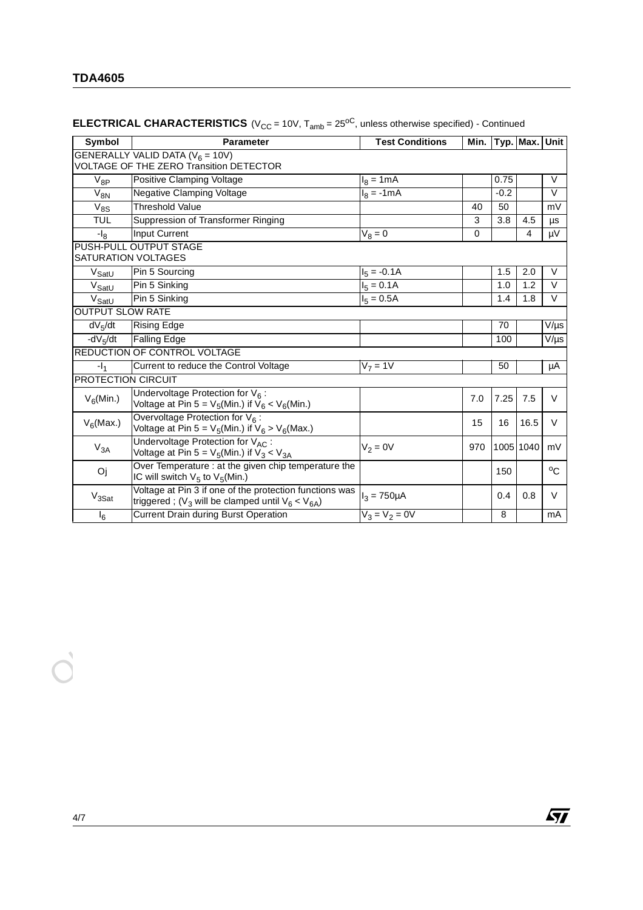|                           | <b>Parameter</b>                                                                                                     | <b>Test Conditions</b> |     |        | Min. Typ. Max. | Unit          |
|---------------------------|----------------------------------------------------------------------------------------------------------------------|------------------------|-----|--------|----------------|---------------|
|                           | GENERALLY VALID DATA ( $V_6$ = 10V)<br><b>VOLTAGE OF THE ZERO Transition DETECTOR</b>                                |                        |     |        |                |               |
| $V_{8P}$                  | Positive Clamping Voltage                                                                                            | $I_8 = 1mA$            |     | 0.75   |                | $\vee$        |
| $V_{8N}$                  | <b>Negative Clamping Voltage</b>                                                                                     | $I_8 = -1mA$           |     | $-0.2$ |                | $\vee$        |
| $\overline{V}_{8S}$       | <b>Threshold Value</b>                                                                                               |                        | 40  | 50     |                | mV            |
| <b>TUL</b>                | Suppression of Transformer Ringing                                                                                   |                        | 3   | 3.8    | 4.5            | $\mu\text{s}$ |
| $-I_8$                    | <b>Input Current</b>                                                                                                 | $V_8 = 0$              | 0   |        | 4              | μV            |
|                           | PUSH-PULL OUTPUT STAGE<br>SATURATION VOLTAGES                                                                        |                        |     |        |                |               |
| V <sub>SatU</sub>         | Pin 5 Sourcing                                                                                                       | $I_5 = -0.1A$          |     | 1.5    | 2.0            | V             |
| $V_{\text{SatU}}$         | Pin 5 Sinking                                                                                                        | $I_5 = 0.1A$           |     | 1.0    | 1.2            | V             |
| $\mathrm{\bar{V}_{SatU}}$ | Pin 5 Sinking                                                                                                        | $I_5 = 0.5A$           |     | 1.4    | 1.8            | V             |
| <b>OUTPUT SLOW RATE</b>   |                                                                                                                      |                        |     |        |                |               |
| $dV_5/dt$                 | <b>Rising Edge</b>                                                                                                   |                        |     | 70     |                | V/µs          |
| $-dV5/dt$                 | <b>Falling Edge</b>                                                                                                  |                        |     | 100    |                | $V/\mu s$     |
|                           | <b>REDUCTION OF CONTROL VOLTAGE</b>                                                                                  |                        |     |        |                |               |
| $-1_{1}$                  | Current to reduce the Control Voltage                                                                                | $V7 = 1V$              |     | 50     |                | μA            |
| <b>PROTECTION CIRCUIT</b> |                                                                                                                      |                        |     |        |                |               |
| $V_6$ (Min.)              | Undervoltage Protection for $V_6$ :<br>Voltage at Pin 5 = $V_5$ (Min.) if $V_6 < V_6$ (Min.)                         |                        | 7.0 | 7.25   | 7.5            | V             |
| $V_6$ (Max.)              | Overvoltage Protection for V6:<br>Voltage at Pin 5 = $V_5$ (Min.) if $V_6 > V_6$ (Max.)                              |                        | 15  | 16     | 16.5           | V             |
| $\rm V_{3A}$              | Undervoltage Protection for VAC:<br>Voltage at Pin 5 = $V_5$ (Min.) if $V_3$ < $V_{3A}$                              | $V_2 = 0V$             | 970 |        | 1005 1040      | mV            |
| Oj                        | Over Temperature : at the given chip temperature the<br>IC will switch $V_5$ to $V_5$ (Min.)                         |                        |     | 150    |                | $^{\circ}$ C  |
| $V_{3Sat}$                | Voltage at Pin 3 if one of the protection functions was<br>triggered; ( $V_3$ will be clamped until $V_6 < V_{6A}$ ) | $I_3 = 750 \mu A$      |     | 0.4    | 0.8            | V             |
| $I_6$                     | <b>Current Drain during Burst Operation</b>                                                                          | $V_3 = V_2 = 0V$       |     | 8      |                | mA            |

## **ELECTRICAL CHARACTERISTICS** ( $V_{CC}$  = 10V,  $T_{amb}$  = 25<sup>oC</sup>, unless otherwise specified) - Continued

 $\sqrt{M}$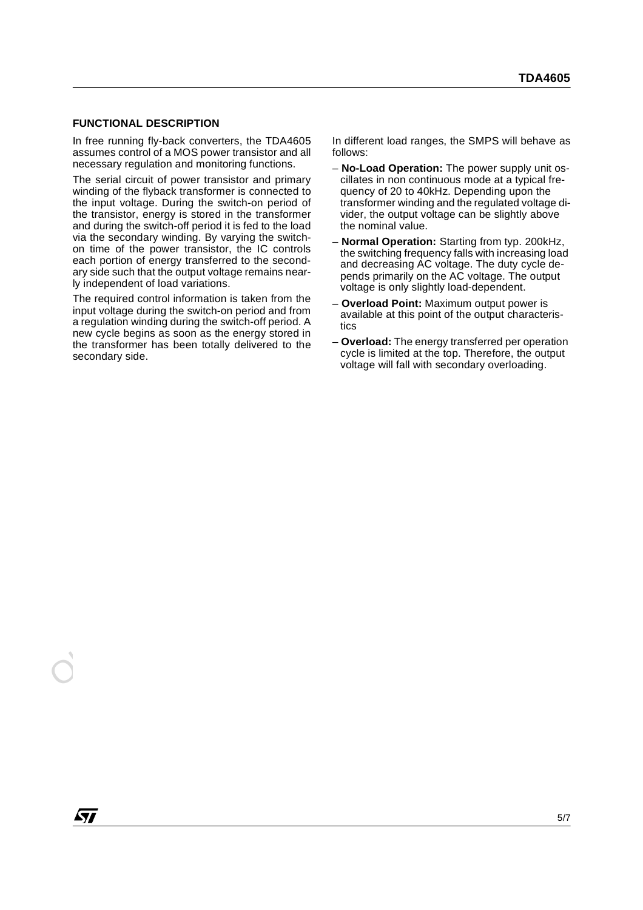#### **FUNCTIONAL DESCRIPTION**

In free running fly-back converters, the TDA4605 assumes control of a MOS power transistor and all necessary regulation and monitoring functions.

The serial circuit of power transistor and primary winding of the flyback transformer is connected to the input voltage. During the switch-on period of the transistor, energy is stored in the transformer and during the switch-off period it is fed to the load via the secondary winding. By varying the switchon time of the power transistor, the IC controls each portion of energy transferred to the secondary side such that the output voltage remains nearly independent of load variations.

a regulation winding during direction per event-of products. A titles<br>
the whole begins as soon as the energy stored in<br>
the transformer has been totally delivered to the<br>
overload: The energy transferred per operation<br>
wo The required control information is taken from the input voltage during the switch-on period and from a regulation winding during the switch-off period. A new cycle begins as soon as the energy stored in the transformer has been totally delivered to the secondary side.

In different load ranges, the SMPS will behave as follows:

- **No-Load Operation:** The power supply unit oscillates in non continuous mode at a typical frequency of 20 to 40kHz. Depending upon the transformer winding and the regulated voltage divider, the output voltage can be slightly above the nominal value.
- **Normal Operation:** Starting from typ. 200kHz, the switching frequency falls with increasing load and decreasing AC voltage. The duty cycle depends primarily on the AC voltage. The output voltage is only slightly load-dependent.
- **Overload Point:** Maximum output power is available at this point of the output characteristics
- **Overload:** The energy transferred per operation cycle is limited at the top. Therefore, the output voltage will fall with secondary overloading.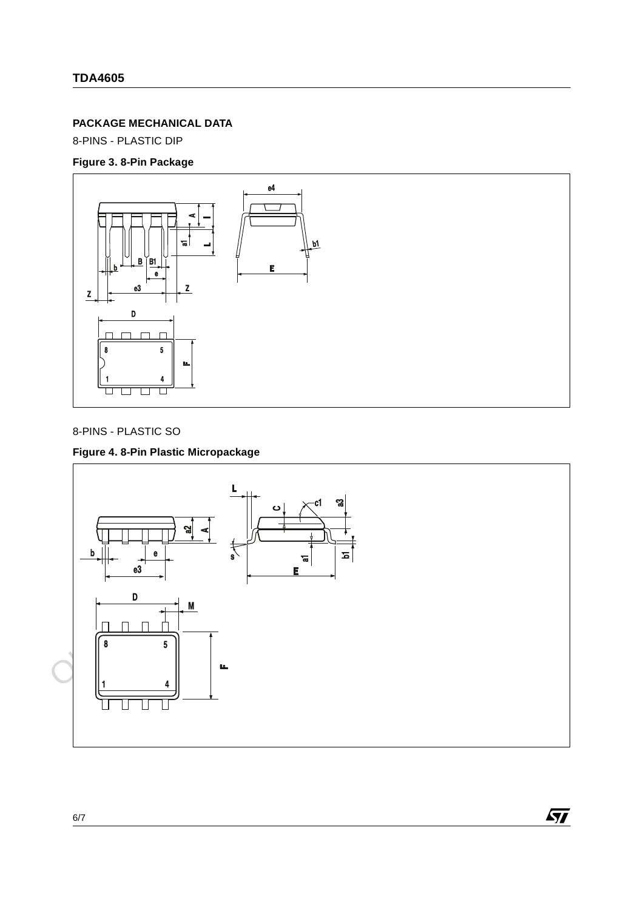### **PACKAGE MECHANICAL DATA**

8-PINS - PLASTIC DIP

### **Figure 3. 8-Pin Package**



### 8-PINS - PLASTIC SO

### **Figure 4. 8-Pin Plastic Micropackage**



 $\sqrt{27}$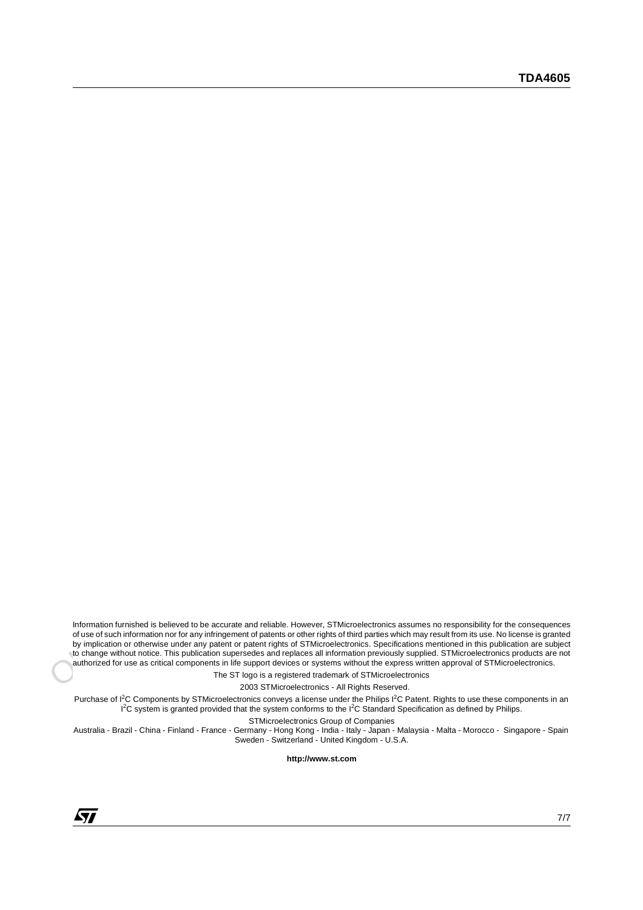Information furnished is believed to be ancurate and reliable. However, STMicroelectronics assumes no responsibility for the consequence of use of such information nor for any infiningement of patients or other rights of t Information furnished is believed to be accurate and reliable. However, STMicroelectronics assumes no responsibility for the consequences of use of such information nor for any infringement of patents or other rights of third parties which may result from its use. No license is granted by implication or otherwise under any patent or patent rights of STMicroelectronics. Specifications mentioned in this publication are subject to change without notice. This publication supersedes and replaces all information previously supplied. STMicroelectronics products are not authorized for use as critical components in life support devices or systems without the express written approval of STMicroelectronics.

The ST logo is a registered trademark of STMicroelectronics

2003 STMicroelectronics - All Rights Reserved.

Purchase of I<sup>2</sup>C Components by STMicroelectronics conveys a license under the Philips I<sup>2</sup>C Patent. Rights to use these components in an <sup>12</sup>C system is granted provided that the system conforms to the <sup>12</sup>C Standard Specification as defined by Philips.

STMicroelectronics Group of Companies

Australia - Brazil - China - Finland - France - Germany - Hong Kong - India - Italy - Japan - Malaysia - Malta - Morocco - Singapore - Spain Sweden - Switzerland - United Kingdom - U.S.A.

**http://www.st.com**